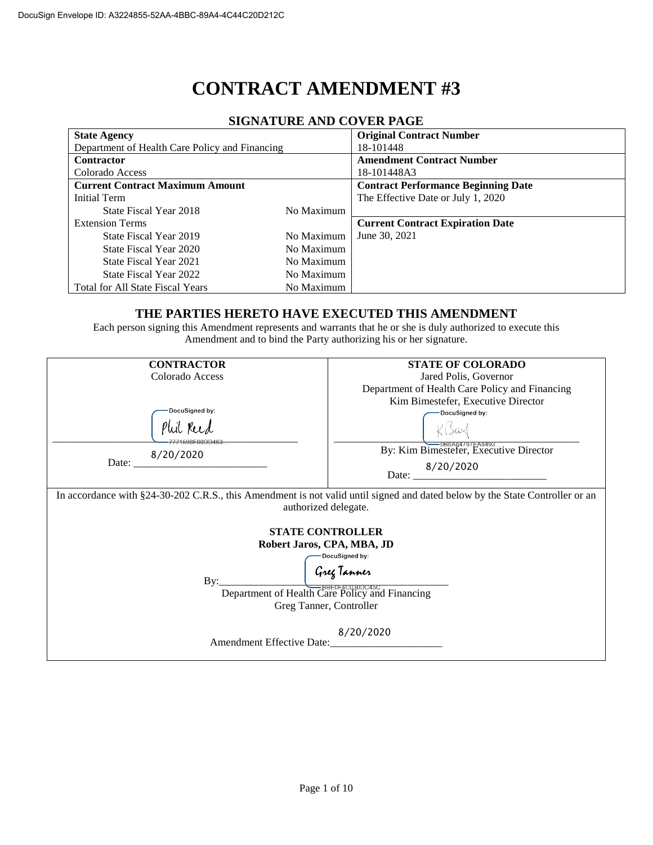# **CONTRACT AMENDMENT #3**

| 91911/11 01\12 /11 1D CO 1 12N 1 /1\012 |                                            |  |  |  |  |  |
|-----------------------------------------|--------------------------------------------|--|--|--|--|--|
|                                         | <b>Original Contract Number</b>            |  |  |  |  |  |
|                                         | 18-101448                                  |  |  |  |  |  |
|                                         | <b>Amendment Contract Number</b>           |  |  |  |  |  |
|                                         | 18-101448A3                                |  |  |  |  |  |
|                                         | <b>Contract Performance Beginning Date</b> |  |  |  |  |  |
|                                         | The Effective Date or July 1, 2020         |  |  |  |  |  |
| No Maximum                              |                                            |  |  |  |  |  |
|                                         | <b>Current Contract Expiration Date</b>    |  |  |  |  |  |
| No Maximum                              | June 30, 2021                              |  |  |  |  |  |
| No Maximum                              |                                            |  |  |  |  |  |
| No Maximum                              |                                            |  |  |  |  |  |
| No Maximum                              |                                            |  |  |  |  |  |
| No Maximum                              |                                            |  |  |  |  |  |
|                                         |                                            |  |  |  |  |  |

#### **SIGNATURE AND COVER PAGE**

#### **THE PARTIES HERETO HAVE EXECUTED THIS AMENDMENT**

Each person signing this Amendment represents and warrants that he or she is duly authorized to execute this Amendment and to bind the Party authorizing his or her signature.

| <b>CONTRACTOR</b>                                                                                                                                    | <b>STATE OF COLORADO</b>                       |  |  |  |
|------------------------------------------------------------------------------------------------------------------------------------------------------|------------------------------------------------|--|--|--|
| Colorado Access                                                                                                                                      | Jared Polis, Governor                          |  |  |  |
|                                                                                                                                                      | Department of Health Care Policy and Financing |  |  |  |
|                                                                                                                                                      | Kim Bimestefer, Executive Director             |  |  |  |
| DocuSigned by:                                                                                                                                       | DocuSigned by:                                 |  |  |  |
| 7771598E80DD463-                                                                                                                                     |                                                |  |  |  |
| 8/20/2020                                                                                                                                            | By: Kim Bimestefer, Executive Director         |  |  |  |
| Date:                                                                                                                                                | Date: $\frac{8/20/2020}{2}$                    |  |  |  |
| In accordance with §24-30-202 C.R.S., this Amendment is not valid until signed and dated below by the State Controller or an<br>authorized delegate. |                                                |  |  |  |
| <b>STATE CONTROLLER</b>                                                                                                                              |                                                |  |  |  |
|                                                                                                                                                      | Robert Jaros, CPA, MBA, JD                     |  |  |  |
|                                                                                                                                                      | DocuSigned by:                                 |  |  |  |
| By:                                                                                                                                                  |                                                |  |  |  |
| Guy Tanner<br>Department of Health Care Policy and Financing<br>Greg Tanner, Controller                                                              |                                                |  |  |  |
| 8/20/2020<br>Amendment Effective Date:<br><u> 1980 - Jan James Barbara, president populari (</u>                                                     |                                                |  |  |  |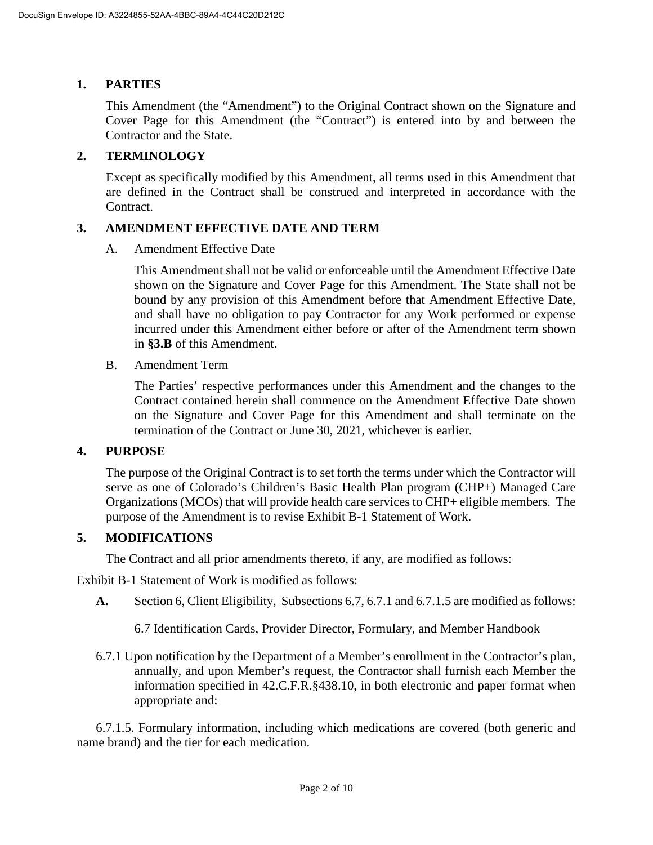## **1. PARTIES**

This Amendment (the "Amendment") to the Original Contract shown on the Signature and Cover Page for this Amendment (the "Contract") is entered into by and between the Contractor and the State.

## **2. TERMINOLOGY**

Except as specifically modified by this Amendment, all terms used in this Amendment that are defined in the Contract shall be construed and interpreted in accordance with the Contract.

## **3. AMENDMENT EFFECTIVE DATE AND TERM**

A. Amendment Effective Date

This Amendment shall not be valid or enforceable until the Amendment Effective Date shown on the Signature and Cover Page for this Amendment. The State shall not be bound by any provision of this Amendment before that Amendment Effective Date, and shall have no obligation to pay Contractor for any Work performed or expense incurred under this Amendment either before or after of the Amendment term shown in **[§3.B](#page--1-0)** of this Amendment.

B. Amendment Term

The Parties' respective performances under this Amendment and the changes to the Contract contained herein shall commence on the Amendment Effective Date shown on the Signature and Cover Page for this Amendment and shall terminate on the termination of the Contract or June 30, 2021, whichever is earlier.

## **4. PURPOSE**

The purpose of the Original Contract is to set forth the terms under which the Contractor will serve as one of Colorado's Children's Basic Health Plan program (CHP+) Managed Care Organizations (MCOs) that will provide health care services to CHP+ eligible members. The purpose of the Amendment is to revise Exhibit B-1 Statement of Work.

## **5. MODIFICATIONS**

The Contract and all prior amendments thereto, if any, are modified as follows:

Exhibit B-1 Statement of Work is modified as follows:

- **A.** Section 6, Client Eligibility, Subsections 6.7, 6.7.1 and 6.7.1.5 are modified as follows:
	- 6.7 Identification Cards, Provider Director, Formulary, and Member Handbook
- 6.7.1 Upon notification by the Department of a Member's enrollment in the Contractor's plan, annually, and upon Member's request, the Contractor shall furnish each Member the information specified in 42.C.F.R.§438.10, in both electronic and paper format when appropriate and:

6.7.1.5. Formulary information, including which medications are covered (both generic and name brand) and the tier for each medication.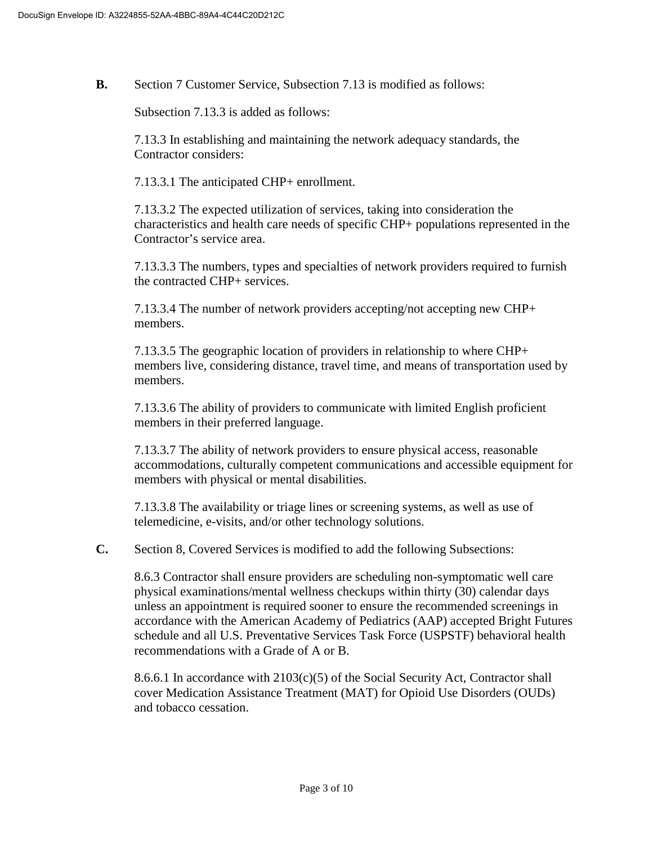**B.** Section 7 Customer Service, Subsection 7.13 is modified as follows:

Subsection 7.13.3 is added as follows:

7.13.3 In establishing and maintaining the network adequacy standards, the Contractor considers:

7.13.3.1 The anticipated CHP+ enrollment.

7.13.3.2 The expected utilization of services, taking into consideration the characteristics and health care needs of specific CHP+ populations represented in the Contractor's service area.

7.13.3.3 The numbers, types and specialties of network providers required to furnish the contracted CHP+ services.

7.13.3.4 The number of network providers accepting/not accepting new CHP+ members.

7.13.3.5 The geographic location of providers in relationship to where CHP+ members live, considering distance, travel time, and means of transportation used by members.

7.13.3.6 The ability of providers to communicate with limited English proficient members in their preferred language.

7.13.3.7 The ability of network providers to ensure physical access, reasonable accommodations, culturally competent communications and accessible equipment for members with physical or mental disabilities.

7.13.3.8 The availability or triage lines or screening systems, as well as use of telemedicine, e-visits, and/or other technology solutions.

**C.** Section 8, Covered Services is modified to add the following Subsections:

8.6.3 Contractor shall ensure providers are scheduling non-symptomatic well care physical examinations/mental wellness checkups within thirty (30) calendar days unless an appointment is required sooner to ensure the recommended screenings in accordance with the American Academy of Pediatrics (AAP) accepted Bright Futures schedule and all U.S. Preventative Services Task Force (USPSTF) behavioral health recommendations with a Grade of A or B.

8.6.6.1 In accordance with  $2103(c)(5)$  of the Social Security Act, Contractor shall cover Medication Assistance Treatment (MAT) for Opioid Use Disorders (OUDs) and tobacco cessation.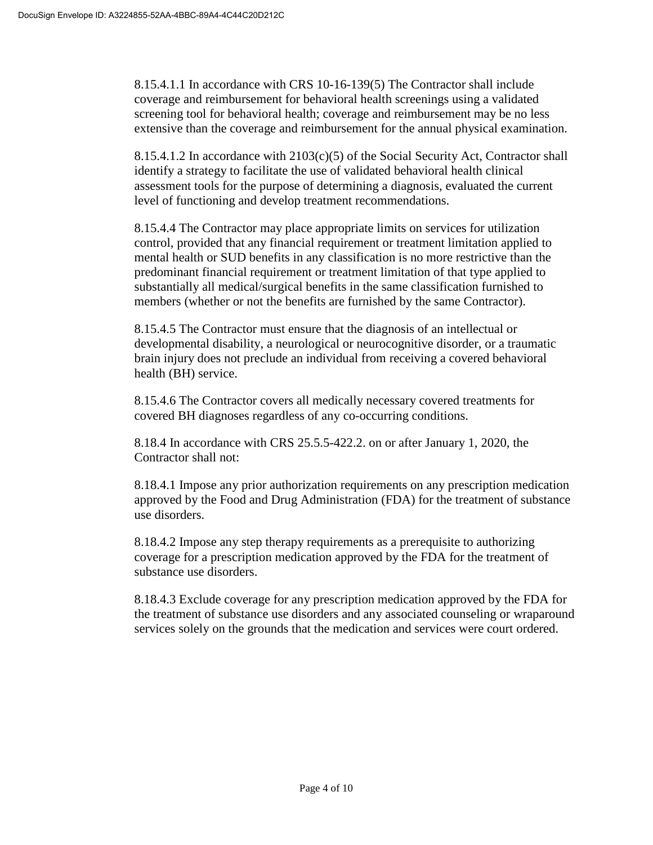8.15.4.1.1 In accordance with CRS 10-16-139(5) The Contractor shall include coverage and reimbursement for behavioral health screenings using a validated screening tool for behavioral health; coverage and reimbursement may be no less extensive than the coverage and reimbursement for the annual physical examination.

8.15.4.1.2 In accordance with 2103(c)(5) of the Social Security Act, Contractor shall identify a strategy to facilitate the use of validated behavioral health clinical assessment tools for the purpose of determining a diagnosis, evaluated the current level of functioning and develop treatment recommendations.

8.15.4.4 The Contractor may place appropriate limits on services for utilization control, provided that any financial requirement or treatment limitation applied to mental health or SUD benefits in any classification is no more restrictive than the predominant financial requirement or treatment limitation of that type applied to substantially all medical/surgical benefits in the same classification furnished to members (whether or not the benefits are furnished by the same Contractor).

8.15.4.5 The Contractor must ensure that the diagnosis of an intellectual or developmental disability, a neurological or neurocognitive disorder, or a traumatic brain injury does not preclude an individual from receiving a covered behavioral health (BH) service.

8.15.4.6 The Contractor covers all medically necessary covered treatments for covered BH diagnoses regardless of any co-occurring conditions.

8.18.4 In accordance with CRS 25.5.5-422.2. on or after January 1, 2020, the Contractor shall not:

8.18.4.1 Impose any prior authorization requirements on any prescription medication approved by the Food and Drug Administration (FDA) for the treatment of substance use disorders.

8.18.4.2 Impose any step therapy requirements as a prerequisite to authorizing coverage for a prescription medication approved by the FDA for the treatment of substance use disorders.

8.18.4.3 Exclude coverage for any prescription medication approved by the FDA for the treatment of substance use disorders and any associated counseling or wraparound services solely on the grounds that the medication and services were court ordered.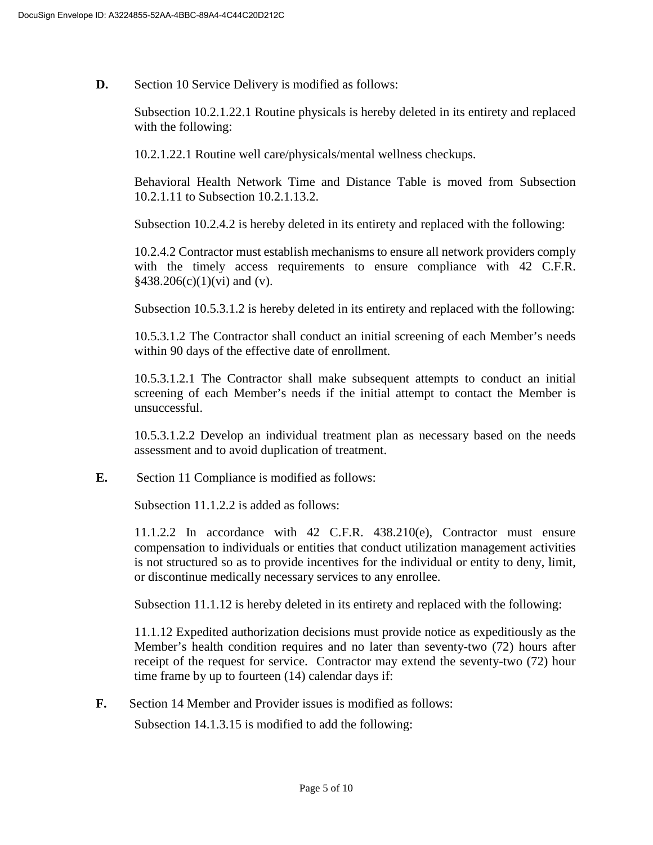**D.** Section 10 Service Delivery is modified as follows:

Subsection 10.2.1.22.1 Routine physicals is hereby deleted in its entirety and replaced with the following:

10.2.1.22.1 Routine well care/physicals/mental wellness checkups.

Behavioral Health Network Time and Distance Table is moved from Subsection 10.2.1.11 to Subsection 10.2.1.13.2.

Subsection 10.2.4.2 is hereby deleted in its entirety and replaced with the following:

10.2.4.2 Contractor must establish mechanisms to ensure all network providers comply with the timely access requirements to ensure compliance with 42 C.F.R.  $§438.206(c)(1)(vi)$  and (v).

Subsection 10.5.3.1.2 is hereby deleted in its entirety and replaced with the following:

10.5.3.1.2 The Contractor shall conduct an initial screening of each Member's needs within 90 days of the effective date of enrollment.

10.5.3.1.2.1 The Contractor shall make subsequent attempts to conduct an initial screening of each Member's needs if the initial attempt to contact the Member is unsuccessful.

10.5.3.1.2.2 Develop an individual treatment plan as necessary based on the needs assessment and to avoid duplication of treatment.

**E.** Section 11 Compliance is modified as follows:

Subsection 11.1.2.2 is added as follows:

11.1.2.2 In accordance with 42 C.F.R. 438.210(e), Contractor must ensure compensation to individuals or entities that conduct utilization management activities is not structured so as to provide incentives for the individual or entity to deny, limit, or discontinue medically necessary services to any enrollee.

Subsection 11.1.12 is hereby deleted in its entirety and replaced with the following:

11.1.12 Expedited authorization decisions must provide notice as expeditiously as the Member's health condition requires and no later than seventy-two (72) hours after receipt of the request for service. Contractor may extend the seventy-two (72) hour time frame by up to fourteen (14) calendar days if:

**F.** Section 14 Member and Provider issues is modified as follows:

Subsection 14.1.3.15 is modified to add the following: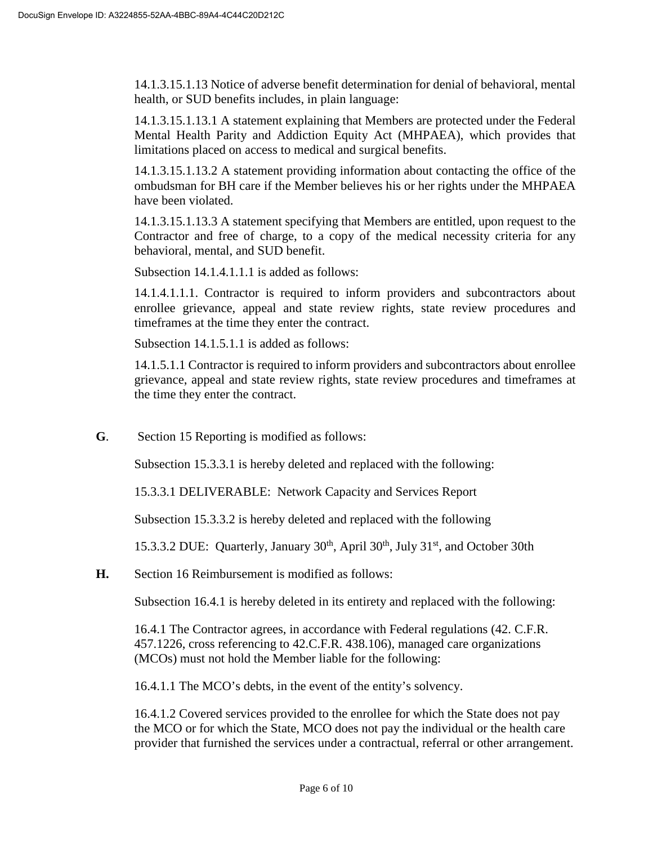14.1.3.15.1.13 Notice of adverse benefit determination for denial of behavioral, mental health, or SUD benefits includes, in plain language:

14.1.3.15.1.13.1 A statement explaining that Members are protected under the Federal Mental Health Parity and Addiction Equity Act (MHPAEA), which provides that limitations placed on access to medical and surgical benefits.

14.1.3.15.1.13.2 A statement providing information about contacting the office of the ombudsman for BH care if the Member believes his or her rights under the MHPAEA have been violated.

14.1.3.15.1.13.3 A statement specifying that Members are entitled, upon request to the Contractor and free of charge, to a copy of the medical necessity criteria for any behavioral, mental, and SUD benefit.

Subsection 14.1.4.1.1.1 is added as follows:

14.1.4.1.1.1. Contractor is required to inform providers and subcontractors about enrollee grievance, appeal and state review rights, state review procedures and timeframes at the time they enter the contract.

Subsection 14.1.5.1.1 is added as follows:

14.1.5.1.1 Contractor is required to inform providers and subcontractors about enrollee grievance, appeal and state review rights, state review procedures and timeframes at the time they enter the contract.

**G**. Section 15 Reporting is modified as follows:

Subsection 15.3.3.1 is hereby deleted and replaced with the following:

15.3.3.1 DELIVERABLE: Network Capacity and Services Report

Subsection 15.3.3.2 is hereby deleted and replaced with the following

15.3.3.2 DUE: Quarterly, January  $30<sup>th</sup>$ , April  $30<sup>th</sup>$ , July  $31<sup>st</sup>$ , and October 30th

**H.** Section 16 Reimbursement is modified as follows:

Subsection 16.4.1 is hereby deleted in its entirety and replaced with the following:

16.4.1 The Contractor agrees, in accordance with Federal regulations (42. C.F.R. 457.1226, cross referencing to 42.C.F.R. 438.106), managed care organizations (MCOs) must not hold the Member liable for the following:

16.4.1.1 The MCO's debts, in the event of the entity's solvency.

16.4.1.2 Covered services provided to the enrollee for which the State does not pay the MCO or for which the State, MCO does not pay the individual or the health care provider that furnished the services under a contractual, referral or other arrangement.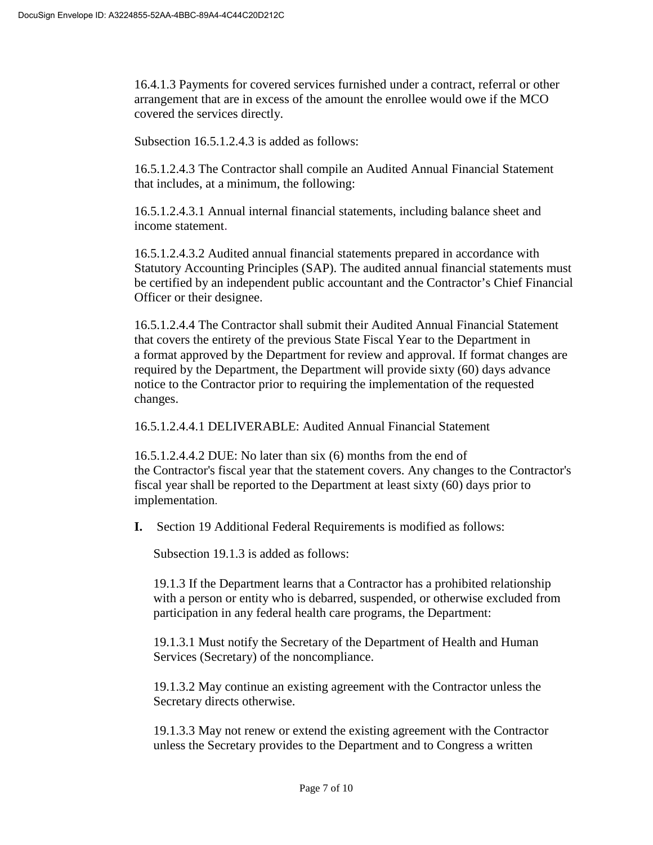16.4.1.3 Payments for covered services furnished under a contract, referral or other arrangement that are in excess of the amount the enrollee would owe if the MCO covered the services directly.

Subsection 16.5.1.2.4.3 is added as follows:

16.5.1.2.4.3 The Contractor shall compile an Audited Annual Financial Statement that includes, at a minimum, the following:

16.5.1.2.4.3.1 Annual internal financial statements, including balance sheet and income statement.

16.5.1.2.4.3.2 Audited annual financial statements prepared in accordance with Statutory Accounting Principles (SAP). The audited annual financial statements must be certified by an independent public accountant and the Contractor's Chief Financial Officer or their designee.

16.5.1.2.4.4 The Contractor shall submit their Audited Annual Financial Statement that covers the entirety of the previous State Fiscal Year to the Department in a format approved by the Department for review and approval. If format changes are required by the Department, the Department will provide sixty (60) days advance notice to the Contractor prior to requiring the implementation of the requested changes.

16.5.1.2.4.4.1 DELIVERABLE: Audited Annual Financial Statement

16.5.1.2.4.4.2 DUE: No later than six (6) months from the end of the Contractor's fiscal year that the statement covers. Any changes to the Contractor's fiscal year shall be reported to the Department at least sixty (60) days prior to implementation.

**I.** Section 19 Additional Federal Requirements is modified as follows:

Subsection 19.1.3 is added as follows:

19.1.3 If the Department learns that a Contractor has a prohibited relationship with a person or entity who is debarred, suspended, or otherwise excluded from participation in any federal health care programs, the Department:

19.1.3.1 Must notify the Secretary of the Department of Health and Human Services (Secretary) of the noncompliance.

19.1.3.2 May continue an existing agreement with the Contractor unless the Secretary directs otherwise.

19.1.3.3 May not renew or extend the existing agreement with the Contractor unless the Secretary provides to the Department and to Congress a written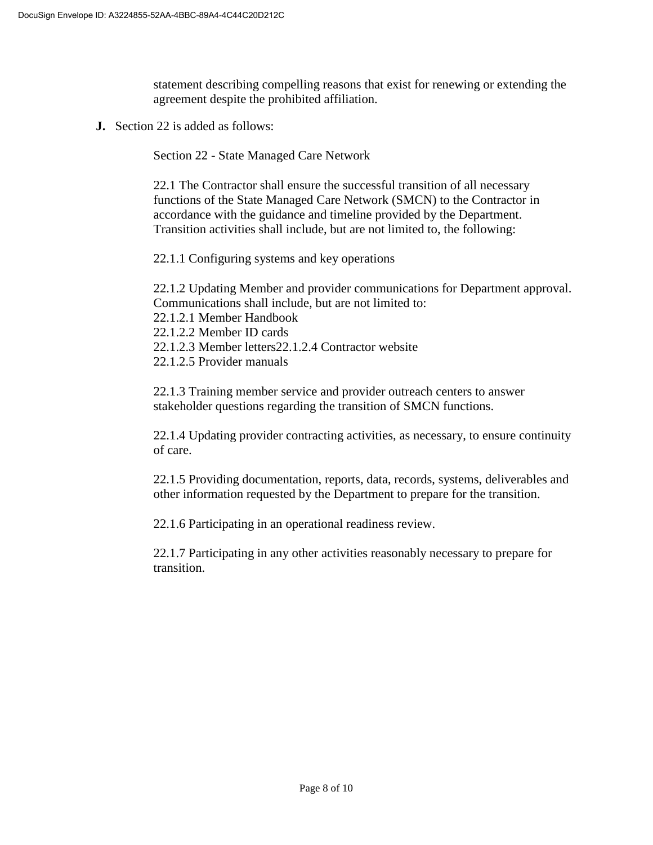statement describing compelling reasons that exist for renewing or extending the agreement despite the prohibited affiliation.

**J.** Section 22 is added as follows:

Section 22 - State Managed Care Network

22.1 The Contractor shall ensure the successful transition of all necessary functions of the State Managed Care Network (SMCN) to the Contractor in accordance with the guidance and timeline provided by the Department. Transition activities shall include, but are not limited to, the following:

22.1.1 Configuring systems and key operations

22.1.2 Updating Member and provider communications for Department approval. Communications shall include, but are not limited to:

22.1.2.1 Member Handbook

22.1.2.2 Member ID cards

22.1.2.3 Member letters22.1.2.4 Contractor website

22.1.2.5 Provider manuals

22.1.3 Training member service and provider outreach centers to answer stakeholder questions regarding the transition of SMCN functions.

22.1.4 Updating provider contracting activities, as necessary, to ensure continuity of care.

22.1.5 Providing documentation, reports, data, records, systems, deliverables and other information requested by the Department to prepare for the transition.

22.1.6 Participating in an operational readiness review.

22.1.7 Participating in any other activities reasonably necessary to prepare for transition.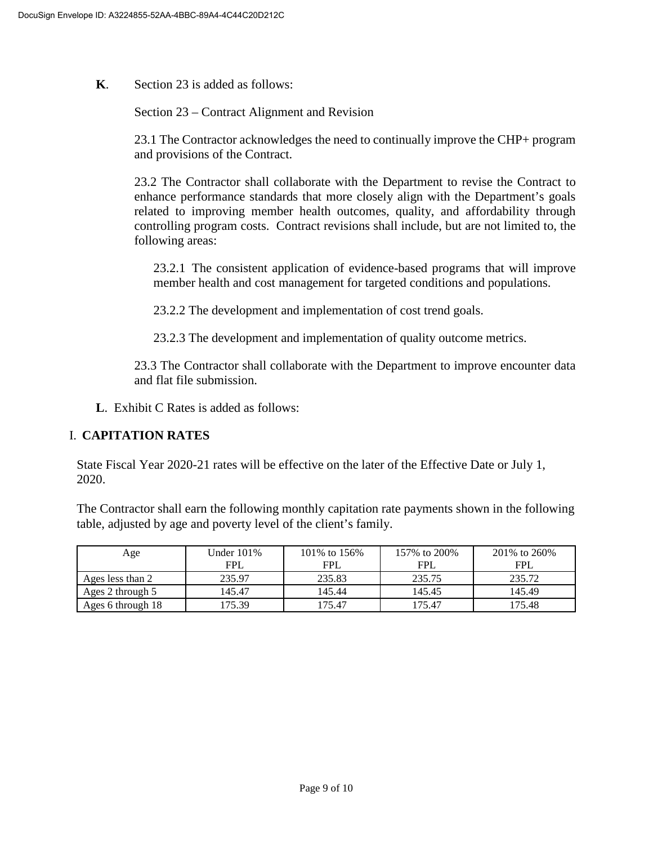**K**. Section 23 is added as follows:

Section 23 – Contract Alignment and Revision

23.1 The Contractor acknowledges the need to continually improve the CHP+ program and provisions of the Contract.

23.2 The Contractor shall collaborate with the Department to revise the Contract to enhance performance standards that more closely align with the Department's goals related to improving member health outcomes, quality, and affordability through controlling program costs. Contract revisions shall include, but are not limited to, the following areas:

23.2.1 The consistent application of evidence-based programs that will improve member health and cost management for targeted conditions and populations.

23.2.2 The development and implementation of cost trend goals.

23.2.3 The development and implementation of quality outcome metrics.

23.3 The Contractor shall collaborate with the Department to improve encounter data and flat file submission.

**L**. Exhibit C Rates is added as follows:

## I. **CAPITATION RATES**

State Fiscal Year 2020-21 rates will be effective on the later of the Effective Date or July 1, 2020.

The Contractor shall earn the following monthly capitation rate payments shown in the following table, adjusted by age and poverty level of the client's family.

| Age               | Under 101% | 101\% to 156\% | 157\% to 200\% | 201\% to 260\% |
|-------------------|------------|----------------|----------------|----------------|
|                   | <b>FPL</b> | <b>FPL</b>     | <b>FPL</b>     | <b>FPL</b>     |
| Ages less than 2  | 235.97     | 235.83         | 235.75         | 235.72         |
| Ages 2 through 5  | 145.47     | 145.44         | 145.45         | 145.49         |
| Ages 6 through 18 | 175.39     | 175.47         | 175.47         | 175.48         |